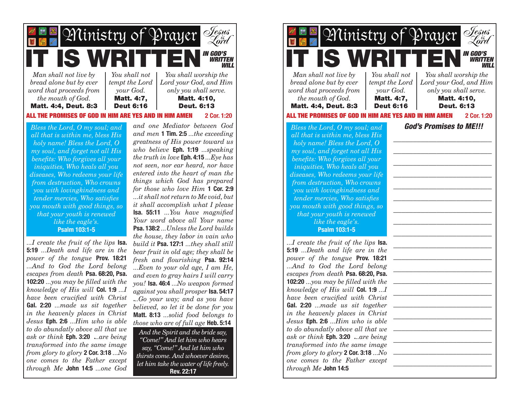

*Bless the Lord, O my soul; and all that is within me, bless His holy name! Bless the Lord, O my soul, and forget not all His benefits: Who forgives all your iniquities, Who heals all you diseases, Who redeems your life from destruction, Who crowns you with lovingkindness and tender mercies, Who satisfies you mouth with good things, so that your youth is renewed like the eagle's.* **Psalm 103:1-5**

*...I create the fruit of the lips* **Isa. 5:19** *...Death and life are in the power of the tongue* **Prov. 18:21** *...And to God the Lord belong escapes from death* **Psa. 68:20, Psa. 102:20** *...you may be filled with the knowledge of His will* **Col. 1:9** *...I have been crucified with Christ*  **Gal. 2:20** *...made us sit together in the heavenly places in Christ Jesus* **Eph. 2:6** *...Him who is able to do abundatly above all that we ask or think* **Eph. 3:20 .***..are being transformed into the same image from glory to glory* **2 Cor. 3:18** *...No one comes to the Father except through Me* **John 14:5** *...one God* 

*and one Mediator between God and men* **1 Tim. 2:5** *...the exceeding greatness of His power toward us who believe* **Eph. 1:19** *...speaking the truth in love* **Eph. 4:15** *...Eye has not seen, nor ear heard, nor have entered into the heart of man the things which God has prepared for those who love Him* **1 Cor. 2:9**  *...it shall not return to Me void, but it shall accomplish what I please* **Isa. 55:11** *...You have magnified Your word above all Your name*  **Psa. 138:2** *...Unless the Lord builds the house, they labor in vain who build it* **Psa. 127:1** *...they shall still bear fruit in old age; they shall be fresh and flourishing* **Psa. 92:14**  *...Even to your old age, I am He, and even to gray hairs I will carry you!* **Isa. 46:4** *...No weapon formed against you shall prosper* **Isa. 54:17 .***..Go your way; and as you have believed, so let it be done for you*  **Matt. 8:13** *...solid food belongs to those who are of full age* **Heb. 5:14**

*And the Spirit and the bride say, "Come!" And let him who hears say, "Come!" And let him who thirsts come. And whoever desires, let him take the water of life freely.* **Rev. 22:17**

*IN GOD'S WRITTEN WILL Man shall not live by bread alone but by ever word that proceeds from the mouth of God.* Matt. 4:4, Deut. 8:3 *You shall not tempt the Lord your God.* Matt. 4:7, Deut 6:16 *You shall worship the Lord your God, and Him only you shall serve.* Matt. 4:10, Deut. 6:13 *...I create the fruit of the lips* **Isa. 5:19** *...Death and life are in the power of the tongue* **Prov. 18:21** *...And to God the Lord belong escapes from death* **Psa. 68:20, Psa. 102:20** *...you may be filled with the knowledge of His will* **Col. 1:9** *...I have been crucified with Christ*  **Gal. 2:20** *...made us sit together in the heavenly places in Christ Jesus* **Eph. 2:6** *...Him who is able to do abundatly above all that we ask or think* **Eph. 3:20 .***..are being transformed into the same image from glory to glory* **2 Cor. 3:18** *...No one comes to the Father except God's Promises to ME!!! \_\_\_\_\_\_\_\_\_\_\_\_\_\_\_\_\_\_\_\_\_\_\_\_\_ \_\_\_\_\_\_\_\_\_\_\_\_\_\_\_\_\_\_\_\_\_\_\_\_\_ \_\_\_\_\_\_\_\_\_\_\_\_\_\_\_\_\_\_\_\_\_\_\_\_\_ \_\_\_\_\_\_\_\_\_\_\_\_\_\_\_\_\_\_\_\_\_\_\_\_\_ \_\_\_\_\_\_\_\_\_\_\_\_\_\_\_\_\_\_\_\_\_\_\_\_\_ \_\_\_\_\_\_\_\_\_\_\_\_\_\_\_\_\_\_\_\_\_\_\_\_\_ \_\_\_\_\_\_\_\_\_\_\_\_\_\_\_\_\_\_\_\_\_\_\_\_\_ \_\_\_\_\_\_\_\_\_\_\_\_\_\_\_\_\_\_\_\_\_\_\_\_\_ \_\_\_\_\_\_\_\_\_\_\_\_\_\_\_\_\_\_\_\_\_\_\_\_\_ \_\_\_\_\_\_\_\_\_\_\_\_\_\_\_\_\_\_\_\_\_\_\_\_\_ \_\_\_\_\_\_\_\_\_\_\_\_\_\_\_\_\_\_\_\_\_\_\_\_\_ \_\_\_\_\_\_\_\_\_\_\_\_\_\_\_\_\_\_\_\_\_\_\_\_\_ \_\_\_\_\_\_\_\_\_\_\_\_\_\_\_\_\_\_\_\_\_\_\_\_\_ \_\_\_\_\_\_\_\_\_\_\_\_\_\_\_\_\_\_\_\_\_\_\_\_\_ \_\_\_\_\_\_\_\_\_\_\_\_\_\_\_\_\_\_\_\_\_\_\_\_\_ \_\_\_\_\_\_\_\_\_\_\_\_\_\_\_\_\_\_\_\_\_\_\_\_\_ \_\_\_\_\_\_\_\_\_\_\_\_\_\_\_\_\_\_\_\_\_\_\_\_\_ \_\_\_\_\_\_\_\_\_\_\_\_\_\_\_\_\_\_\_\_\_\_\_\_\_ \_\_\_\_\_\_\_\_\_\_\_\_\_\_\_\_\_\_\_\_\_\_\_\_\_ \_\_\_\_\_\_\_\_\_\_\_\_\_\_\_\_\_\_\_\_\_\_\_\_\_ Jesus is* Ministry of Prayer *Lord Jesus is* Ministry of Prayer *Lord Bless the Lord, O my soul; and all that is within me, bless His holy name! Bless the Lord, O my soul, and forget not all His benefits: Who forgives all your iniquities, Who heals all you diseases, Who redeems your life from destruction, Who crowns you with lovingkindness and tender mercies, Who satisfies you mouth with good things, so that your youth is renewed like the eagle's.* **Psalm 103:1-5**

*through Me* **John 14:5**